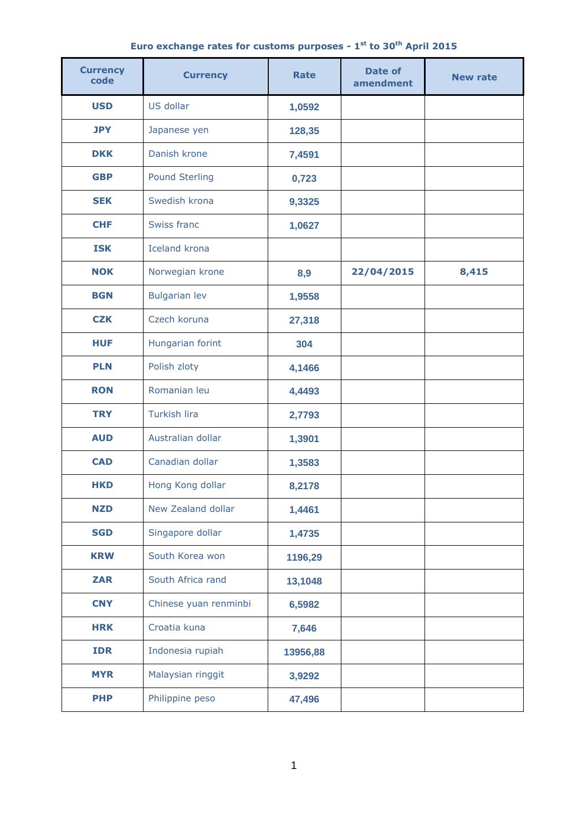|  | Euro exchange rates for customs purposes - 1 <sup>st</sup> to 30 <sup>th</sup> April 2015 |  |  |  |  |  |  |  |  |  |
|--|-------------------------------------------------------------------------------------------|--|--|--|--|--|--|--|--|--|
|--|-------------------------------------------------------------------------------------------|--|--|--|--|--|--|--|--|--|

| <b>Currency</b><br>code | <b>Currency</b>       | <b>Rate</b> | <b>Date of</b><br>amendment | <b>New rate</b> |  |
|-------------------------|-----------------------|-------------|-----------------------------|-----------------|--|
| <b>USD</b>              | US dollar             | 1,0592      |                             |                 |  |
| <b>JPY</b>              | Japanese yen          | 128,35      |                             |                 |  |
| <b>DKK</b>              | Danish krone          | 7,4591      |                             |                 |  |
| <b>GBP</b>              | <b>Pound Sterling</b> | 0,723       |                             |                 |  |
| <b>SEK</b>              | Swedish krona         | 9,3325      |                             |                 |  |
| <b>CHF</b>              | Swiss franc           | 1,0627      |                             |                 |  |
| <b>ISK</b>              | <b>Iceland krona</b>  |             |                             |                 |  |
| <b>NOK</b>              | Norwegian krone       | 8,9         | 22/04/2015                  | 8,415           |  |
| <b>BGN</b>              | <b>Bulgarian lev</b>  | 1,9558      |                             |                 |  |
| <b>CZK</b>              | Czech koruna          | 27,318      |                             |                 |  |
| <b>HUF</b>              | Hungarian forint      | 304         |                             |                 |  |
| <b>PLN</b>              | Polish zloty          | 4,1466      |                             |                 |  |
| <b>RON</b>              | Romanian leu          | 4,4493      |                             |                 |  |
| <b>TRY</b>              | <b>Turkish lira</b>   | 2,7793      |                             |                 |  |
| <b>AUD</b>              | Australian dollar     | 1,3901      |                             |                 |  |
| <b>CAD</b>              | Canadian dollar       | 1,3583      |                             |                 |  |
| <b>HKD</b>              | Hong Kong dollar      | 8,2178      |                             |                 |  |
| <b>NZD</b>              | New Zealand dollar    | 1,4461      |                             |                 |  |
| <b>SGD</b>              | Singapore dollar      | 1,4735      |                             |                 |  |
| <b>KRW</b>              | South Korea won       | 1196,29     |                             |                 |  |
| <b>ZAR</b>              | South Africa rand     | 13,1048     |                             |                 |  |
| <b>CNY</b>              | Chinese yuan renminbi | 6,5982      |                             |                 |  |
| <b>HRK</b>              | Croatia kuna          | 7,646       |                             |                 |  |
| <b>IDR</b>              | Indonesia rupiah      | 13956,88    |                             |                 |  |
| <b>MYR</b>              | Malaysian ringgit     | 3,9292      |                             |                 |  |
| <b>PHP</b>              | Philippine peso       | 47,496      |                             |                 |  |